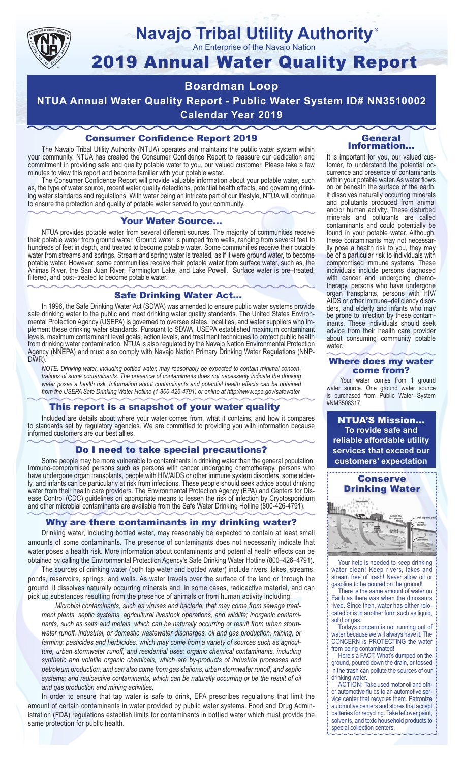

### **Navajo Tribal Utility Authority** ®

An Enterprise of the Navajo Nation

# 2019 Annual Water Quality Report

## **Boardman Loop**

**NTUA Annual Water Quality Report - Public Water System ID# NN3510002 Calendar Year 2019**

## Consumer Confidence Report 2019

The Navajo Tribal Utility Authority (NTUA) operates and maintains the public water system within your community. NTUA has created the Consumer Confidence Report to reassure our dedication and commitment in providing safe and quality potable water to you, our valued customer. Please take a few minutes to view this report and become familiar with your potable water.

The Consumer Confidence Report will provide valuable information about your potable water, such as, the type of water source, recent water quality detections, potential health effects, and governing drinking water standards and regulations. With water being an intricate part of our lifestyle, NTUA will continue to ensure the protection and quality of potable water served to your community.

#### Your Water Source…

NTUA provides potable water from several different sources. The majority of communities receive their potable water from ground water. Ground water is pumped from wells, ranging from several feet to hundreds of feet in depth, and treated to become potable water. Some communities receive their potable water from streams and springs. Stream and spring water is treated, as if it were ground water, to become potable water. However, some communities receive their potable water from surface water, such as, the Animas River, the San Juan River, Farmington Lake, and Lake Powell. Surface water is pre–treated, filtered, and post–treated to become potable water.

#### Safe Drinking Water Act…

In 1996, the Safe Drinking Water Act (SDWA) was amended to ensure public water systems provide safe drinking water to the public and meet drinking water quality standards. The United States Environmental Protection Agency (USEPA) is governed to oversee states, localities, and water suppliers who implement these drinking water standards. Pursuant to SDWA, USEPA established maximum contaminant levels, maximum contaminant level goals, action levels, and treatment techniques to protect public health from drinking water contamination. NTUA is also regulated by the Navajo Nation Environmental Protection Agency (NNEPA) and must also comply with Navajo Nation Primary Drinking Water Regulations (NNP-DWR)

*NOTE: Drinking water, including bottled water, may reasonably be expected to contain minimal concentrations of some contaminants. The presence of contaminants does not necessarily indicate the drinking water poses a health risk. Information about contaminants and potential health effects can be obtained from the USEPA Safe Drinking Water Hotline (1-800-426-4791) or online at http://www.epa.gov/safewater.*

#### This report is a snapshot of your water quality

Included are details about where your water comes from, what it contains, and how it compares to standards set by regulatory agencies. We are committed to providing you with information because informed customers are our best allies.

#### Do I need to take special precautions?

Some people may be more vulnerable to contaminants in drinking water than the general population. Immuno-compromised persons such as persons with cancer undergoing chemotherapy, persons who have undergone organ transplants, people with HIV/AIDS or other immune system disorders, some elderly, and infants can be particularly at risk from infections. These people should seek advice about drinking water from their health care providers. The Environmental Protection Agency (EPA) and Centers for Disease Control (CDC) guidelines on appropriate means to lessen the risk of infection by Cryptosporidium and other microbial contaminants are available from the Safe Water Drinking Hotline (800-426-4791).

#### Why are there contaminants in my drinking water?

Drinking water, including bottled water, may reasonably be expected to contain at least small amounts of some contaminants. The presence of contaminants does not necessarily indicate that water poses a health risk. More information about contaminants and potential health effects can be obtained by calling the Environmental Protection Agency's Safe Drinking Water Hotline (800–426–4791).

The sources of drinking water (both tap water and bottled water) include rivers, lakes, streams, ponds, reservoirs, springs, and wells. As water travels over the surface of the land or through the ground, it dissolves naturally occurring minerals and, in some cases, radioactive material, and can pick up substances resulting from the presence of animals or from human activity including:

*Microbial contaminants, such as viruses and bacteria, that may come from sewage treatment plants, septic systems, agricultural livestock operations, and wildlife; inorganic contaminants, such as salts and metals, which can be naturally occurring or result from urban stormwater runoff, industrial, or domestic wastewater discharges, oil and gas production, mining, or farming; pesticides and herbicides, which may come from a variety of sources such as agriculture, urban stormwater runoff, and residential uses; organic chemical contaminants, including synthetic and volatile organic chemicals, which are by-products of industrial processes and petroleum production, and can also come from gas stations, urban stormwater runoff, and septic systems; and radioactive contaminants, which can be naturally occurring or be the result of oil and gas production and mining activities.*

In order to ensure that tap water is safe to drink, EPA prescribes regulations that limit the amount of certain contaminants in water provided by public water systems. Food and Drug Administration (FDA) regulations establish limits for contaminants in bottled water which must provide the same protection for public health.

#### General Information…

It is important for you, our valued customer, to understand the potential occurrence and presence of contaminants within your potable water. As water flows on or beneath the surface of the earth, it dissolves naturally occurring minerals and pollutants produced from animal and/or human activity. These disturbed minerals and pollutants are called contaminants and could potentially be found in your potable water. Although, these contaminants may not necessarily pose a health risk to you, they may be of a particular risk to individuals with compromised immune systems. These individuals include persons diagnosed with cancer and undergoing chemo-<br>therapy, persons who have undergone organ transplants, persons with HIV/ AIDS or other immune–deficiency disor- ders, and elderly and infants who may be prone to infection by these contam- inants. These individuals should seek advice from their health care provider about consuming community potable water.

#### Where does my water come from?

Your water comes from 1 ground water source. One ground water source is purchased from Public Water System #NM3508317.

NTUA'S Mission... **To rovide safe and reliable affordable utility services that exceed our customers' expectation**



Your help is needed to keep drinking water clean! Keep rivers, lakes and stream free of trash! Never allow oil or gasoline to be poured on the ground!

There is the same amount of water on Earth as there was when the dinosaurs lived. Since then, water has either relocated or is in another form such as liquid, solid or gas.

Todays concern is not running out of water because we will always have it. The CONCERN is PROTECTING the water from being contaminated!

Here's a FACT: What's dumped on the ground, poured down the drain, or tossed in the trash can pollute the sources of our drinking water.

ACTION: Take used motor oil and other automotive fluids to an automotive service center that recycles them. Patronize automotive centers and stores that accept batteries for recycling. Take leftover paint, solvents, and toxic household products to special collection centers.